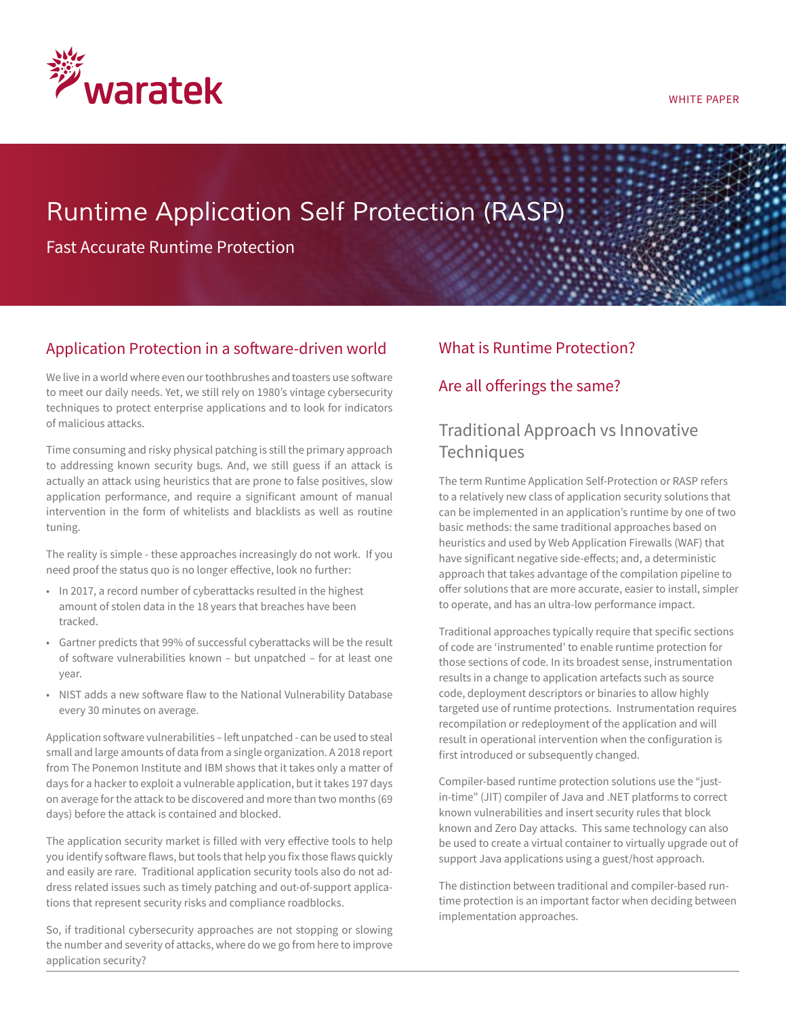

#### WHITE PAPER

# *Runtime Application Self Protection (RASP)*

Fast Accurate Runtime Protection

## Application Protection in a software-driven world

We live in a world where even our toothbrushes and toasters use software to meet our daily needs. Yet, we still rely on 1980's vintage cybersecurity techniques to protect enterprise applications and to look for indicators of malicious attacks.

Time consuming and risky physical patching is still the primary approach to addressing known security bugs. And, we still guess if an attack is actually an attack using heuristics that are prone to false positives, slow application performance, and require a significant amount of manual intervention in the form of whitelists and blacklists as well as routine tuning.

The reality is simple - these approaches increasingly do not work. If you need proof the status quo is no longer effective, look no further:

- In 2017, a record number of cyberattacks resulted in the highest amount of stolen data in the 18 years that breaches have been tracked.
- Gartner predicts that 99% of successful cyberattacks will be the result of software vulnerabilities known – but unpatched – for at least one year.
- NIST adds a new software flaw to the National Vulnerability Database every 30 minutes on average.

Application software vulnerabilities – left unpatched - can be used to steal small and large amounts of data from a single organization. A 2018 report from The Ponemon Institute and IBM shows that it takes only a matter of days for a hacker to exploit a vulnerable application, but it takes 197 days on average for the attack to be discovered and more than two months (69 days) before the attack is contained and blocked.

The application security market is filled with very effective tools to help you identify software flaws, but tools that help you fix those flaws quickly and easily are rare. Traditional application security tools also do not address related issues such as timely patching and out-of-support applications that represent security risks and compliance roadblocks.

So, if traditional cybersecurity approaches are not stopping or slowing the number and severity of attacks, where do we go from here to improve application security?

### What is Runtime Protection?

### Are all offerings the same?

# Traditional Approach vs Innovative **Techniques**

The term Runtime Application Self-Protection or RASP refers to a relatively new class of application security solutions that can be implemented in an application's runtime by one of two basic methods: the same traditional approaches based on heuristics and used by Web Application Firewalls (WAF) that have significant negative side-effects; and, a deterministic approach that takes advantage of the compilation pipeline to offer solutions that are more accurate, easier to install, simpler to operate, and has an ultra-low performance impact.

Traditional approaches typically require that specific sections of code are 'instrumented' to enable runtime protection for those sections of code. In its broadest sense, instrumentation results in a change to application artefacts such as source code, deployment descriptors or binaries to allow highly targeted use of runtime protections. Instrumentation requires recompilation or redeployment of the application and will result in operational intervention when the configuration is first introduced or subsequently changed.

Compiler-based runtime protection solutions use the "justin-time" (JIT) compiler of Java and .NET platforms to correct known vulnerabilities and insert security rules that block known and Zero Day attacks. This same technology can also be used to create a virtual container to virtually upgrade out of support Java applications using a guest/host approach.

The distinction between traditional and compiler-based runtime protection is an important factor when deciding between implementation approaches.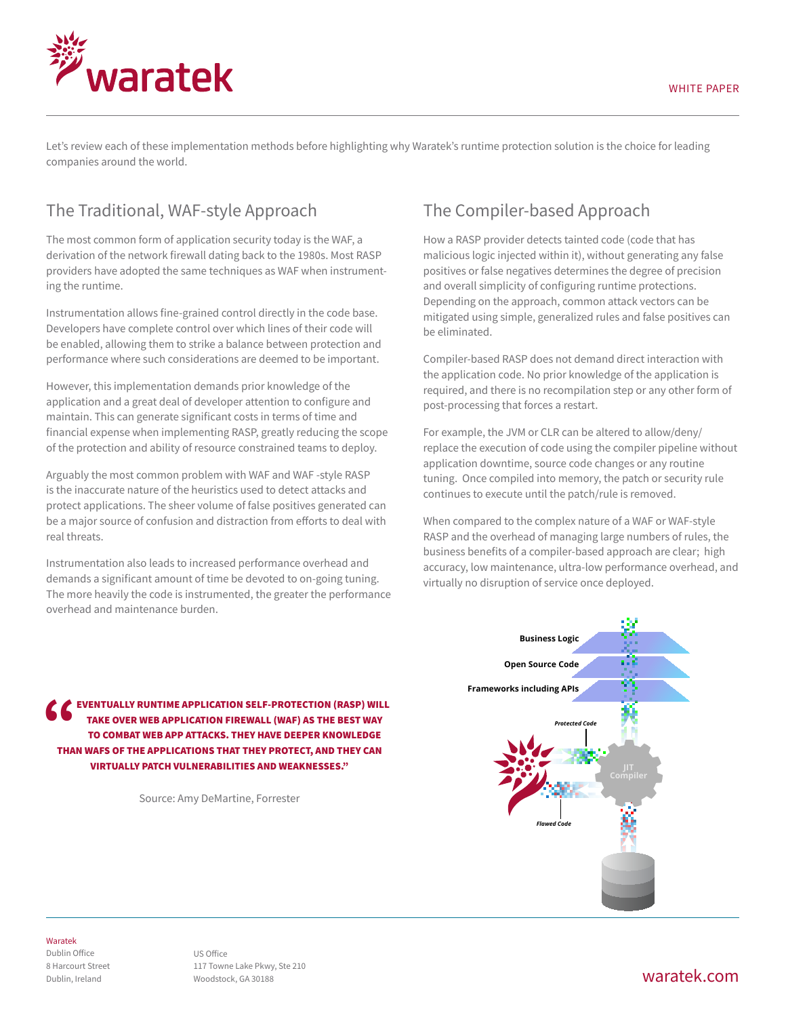

Let's review each of these implementation methods before highlighting why Waratek's runtime protection solution is the choice for leading companies around the world.

# The Traditional, WAF-style Approach

The most common form of application security today is the WAF, a derivation of the network firewall dating back to the 1980s. Most RASP providers have adopted the same techniques as WAF when instrumenting the runtime.

Instrumentation allows fine-grained control directly in the code base. Developers have complete control over which lines of their code will be enabled, allowing them to strike a balance between protection and performance where such considerations are deemed to be important.

However, this implementation demands prior knowledge of the application and a great deal of developer attention to configure and maintain. This can generate significant costs in terms of time and financial expense when implementing RASP, greatly reducing the scope of the protection and ability of resource constrained teams to deploy.

Arguably the most common problem with WAF and WAF -style RASP is the inaccurate nature of the heuristics used to detect attacks and protect applications. The sheer volume of false positives generated can be a major source of confusion and distraction from efforts to deal with real threats.

Instrumentation also leads to increased performance overhead and demands a significant amount of time be devoted to on-going tuning. The more heavily the code is instrumented, the greater the performance overhead and maintenance burden.

# The Compiler-based Approach

How a RASP provider detects tainted code (code that has malicious logic injected within it), without generating any false positives or false negatives determines the degree of precision and overall simplicity of configuring runtime protections. Depending on the approach, common attack vectors can be mitigated using simple, generalized rules and false positives can be eliminated.

Compiler-based RASP does not demand direct interaction with the application code. No prior knowledge of the application is required, and there is no recompilation step or any other form of post-processing that forces a restart.

For example, the JVM or CLR can be altered to allow/deny/ replace the execution of code using the compiler pipeline without application downtime, source code changes or any routine tuning. Once compiled into memory, the patch or security rule continues to execute until the patch/rule is removed.

When compared to the complex nature of a WAF or WAF-style RASP and the overhead of managing large numbers of rules, the business benefits of a compiler-based approach are clear; high accuracy, low maintenance, ultra-low performance overhead, and virtually no disruption of service once deployed.

EVENTUALLY RUNTIME APPLICATION SELF-PROTECTION (RASP) WILL<br>TAKE OVER WEB APPLICATION FIREWALL (WAF) AS THE BEST WAY<br>TO COMBAT WEB APP ATTACKS. THEY HAVE DEEPER KNOWLEDGE<br>THAN WAFS OF THE APPLICATIONS THAT THEY PROTECT. AND take over web application firewall (WAF) as the best way to combat web app attacks. They have deeper knowledge than WAFs of the applications that they protect, and they can virtually patch vulnerabilities and weaknesses."

Source: Amy DeMartine, Forrester



#### Waratek

Dublin Office 8 Harcourt Street Dublin, Ireland

### waratek.com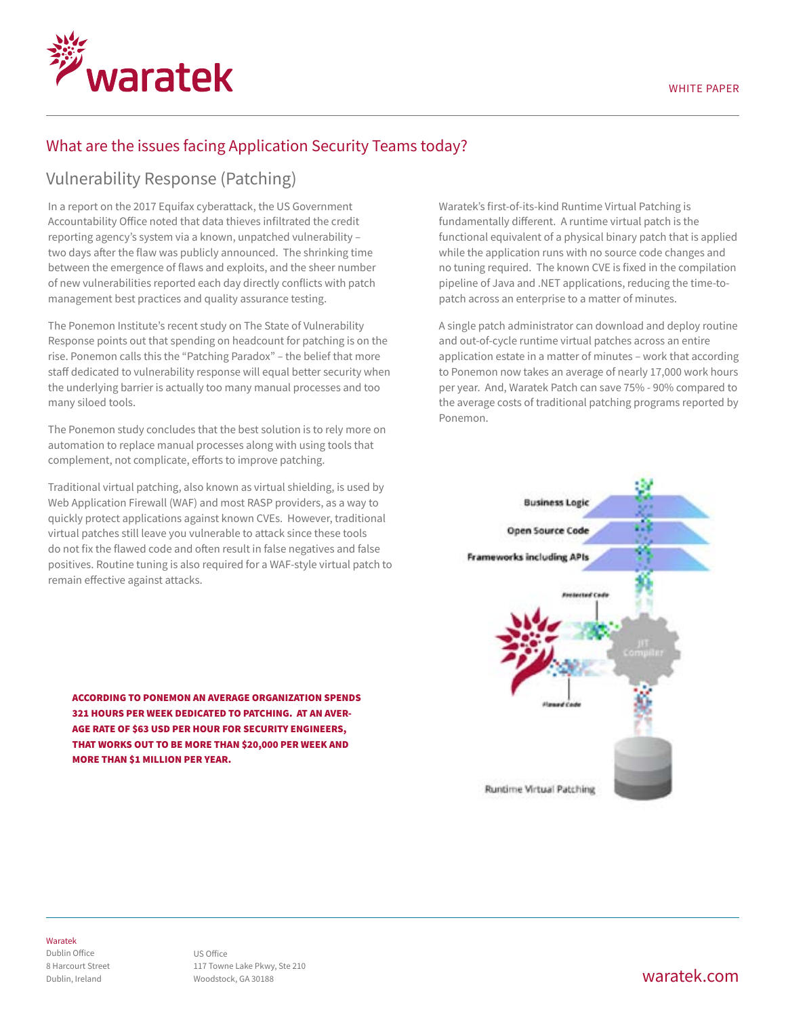

## What are the issues facing Application Security Teams today?

### Vulnerability Response (Patching)

In a report on the 2017 Equifax cyberattack, the US Government Accountability Office noted that data thieves infiltrated the credit reporting agency's system via a known, unpatched vulnerability – two days after the flaw was publicly announced. The shrinking time between the emergence of flaws and exploits, and the sheer number of new vulnerabilities reported each day directly conflicts with patch management best practices and quality assurance testing.

The Ponemon Institute's recent study on The State of Vulnerability Response points out that spending on headcount for patching is on the rise. Ponemon calls this the "Patching Paradox" – the belief that more staff dedicated to vulnerability response will equal better security when the underlying barrier is actually too many manual processes and too many siloed tools.

The Ponemon study concludes that the best solution is to rely more on automation to replace manual processes along with using tools that complement, not complicate, efforts to improve patching.

Traditional virtual patching, also known as virtual shielding, is used by Web Application Firewall (WAF) and most RASP providers, as a way to quickly protect applications against known CVEs. However, traditional virtual patches still leave you vulnerable to attack since these tools do not fix the flawed code and often result in false negatives and false positives. Routine tuning is also required for a WAF-style virtual patch to remain effective against attacks.

According to Ponemon an average organization spends 321 hours per week dedicated to patching. At an average rate of \$63 USD per hour for security engineers, that works out to be more than \$20,000 per week and more than \$1 million per year.

Waratek's first-of-its-kind Runtime Virtual Patching is fundamentally different. A runtime virtual patch is the functional equivalent of a physical binary patch that is applied while the application runs with no source code changes and no tuning required. The known CVE is fixed in the compilation pipeline of Java and .NET applications, reducing the time-topatch across an enterprise to a matter of minutes.

A single patch administrator can download and deploy routine and out-of-cycle runtime virtual patches across an entire application estate in a matter of minutes – work that according to Ponemon now takes an average of nearly 17,000 work hours per year. And, Waratek Patch can save 75% - 90% compared to the average costs of traditional patching programs reported by Ponemon.



#### Waratek

Dublin Office 8 Harcourt Street Dublin, Ireland

US Office 117 Towne Lake Pkwy, Ste 210 Woodstock, GA 30188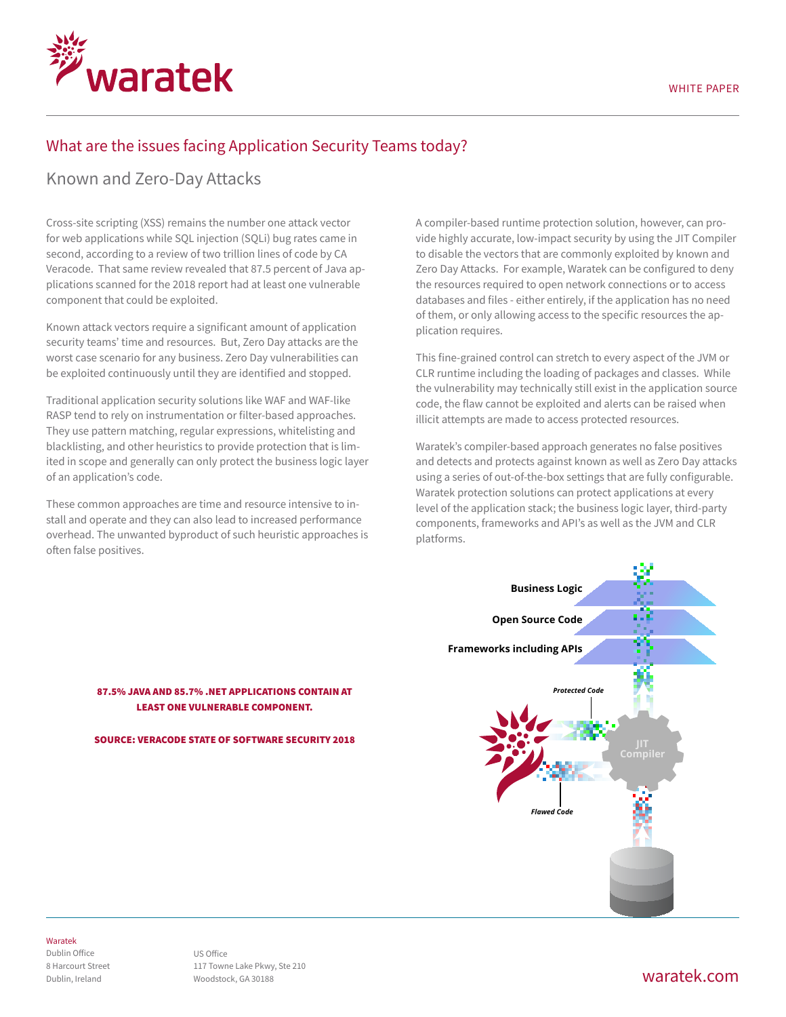

### What are the issues facing Application Security Teams today?

### Known and Zero-Day Attacks

Cross-site scripting (XSS) remains the number one attack vector for web applications while SQL injection (SQLi) bug rates came in second, according to a review of two trillion lines of code by CA Veracode. That same review revealed that 87.5 percent of Java applications scanned for the 2018 report had at least one vulnerable component that could be exploited.

Known attack vectors require a significant amount of application security teams' time and resources. But, Zero Day attacks are the worst case scenario for any business. Zero Day vulnerabilities can be exploited continuously until they are identified and stopped.

Traditional application security solutions like WAF and WAF-like RASP tend to rely on instrumentation or filter-based approaches. They use pattern matching, regular expressions, whitelisting and blacklisting, and other heuristics to provide protection that is limited in scope and generally can only protect the business logic layer of an application's code.

These common approaches are time and resource intensive to install and operate and they can also lead to increased performance overhead. The unwanted byproduct of such heuristic approaches is often false positives.

A compiler-based runtime protection solution, however, can provide highly accurate, low-impact security by using the JIT Compiler to disable the vectors that are commonly exploited by known and Zero Day Attacks. For example, Waratek can be configured to deny the resources required to open network connections or to access databases and files - either entirely, if the application has no need of them, or only allowing access to the specific resources the application requires.

This fine-grained control can stretch to every aspect of the JVM or CLR runtime including the loading of packages and classes. While the vulnerability may technically still exist in the application source code, the flaw cannot be exploited and alerts can be raised when illicit attempts are made to access protected resources.

Waratek's compiler-based approach generates no false positives and detects and protects against known as well as Zero Day attacks using a series of out-of-the-box settings that are fully configurable. Waratek protection solutions can protect applications at every level of the application stack; the business logic layer, third-party components, frameworks and API's as well as the JVM and CLR platforms.



### 87.5% Java and 85.7% .NET applications contain at least one vulnerable component.

Source: Veracode State of Software Security 2018

### Waratek

Dublin Office 8 Harcourt Street Dublin, Ireland

US Office 117 Towne Lake Pkwy, Ste 210 Woodstock, GA 30188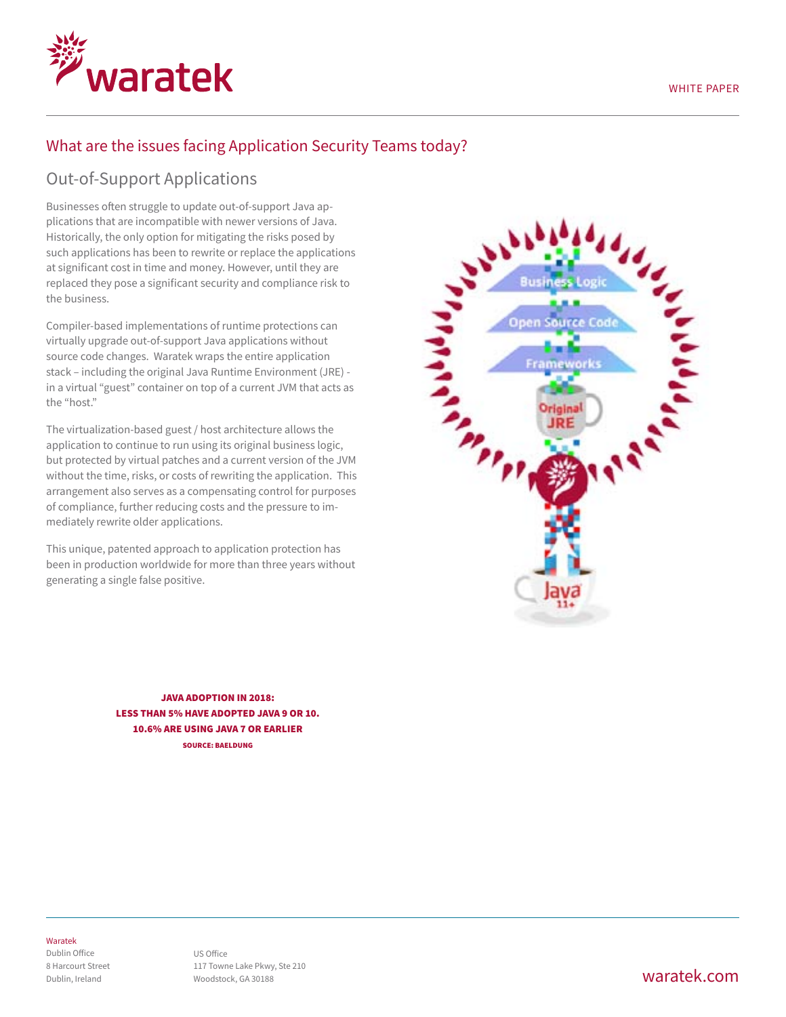## What are the issues facing Application Security Teams today?

# Out-of-Support Applications

waratek

Businesses often struggle to update out-of-support Java applications that are incompatible with newer versions of Java. Historically, the only option for mitigating the risks posed by such applications has been to rewrite or replace the applications at significant cost in time and money. However, until they are replaced they pose a significant security and compliance risk to the business.

Compiler-based implementations of runtime protections can virtually upgrade out-of-support Java applications without source code changes. Waratek wraps the entire application stack – including the original Java Runtime Environment (JRE) in a virtual "guest" container on top of a current JVM that acts as the "host."

The virtualization-based guest / host architecture allows the application to continue to run using its original business logic, but protected by virtual patches and a current version of the JVM without the time, risks, or costs of rewriting the application. This arrangement also serves as a compensating control for purposes of compliance, further reducing costs and the pressure to immediately rewrite older applications.

This unique, patented approach to application protection has been in production worldwide for more than three years without generating a single false positive.

**Creation Open Source Code** Origina

Java Adoption in 2018: Less than 5% have adopted Java 9 or 10. 10.6% are using Java 7 or earlier Source: Baeldung

### Waratek

Dublin Office 8 Harcourt Street Dublin, Ireland

## waratek.com